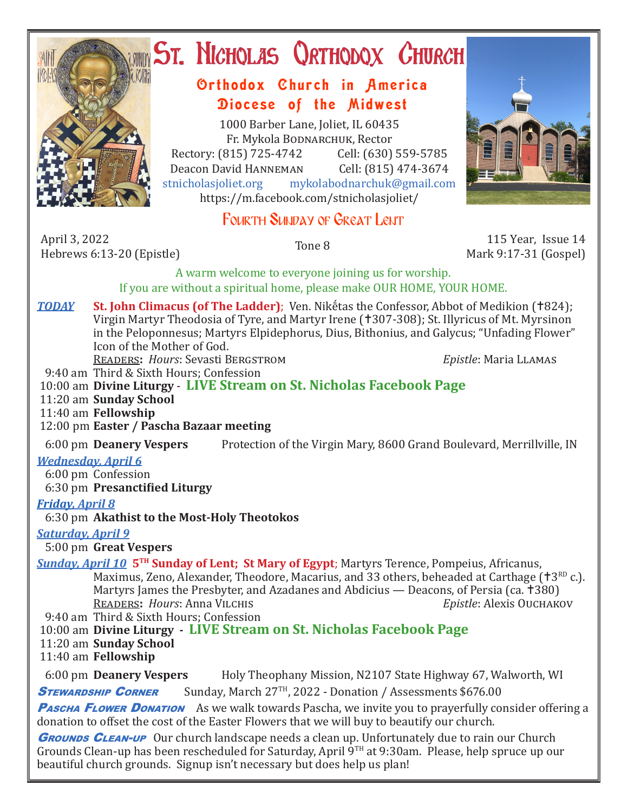

# **ST. NICHOLAS QRTHODOX CHURCH**

## Orthodox Church in America Diocese of the Midwest

1000 Barber Lane, Joliet, IL 60435 Fr. Mykola Bodnarchuk, Rector Rectory: (815) 725-4742 Cell: (630) 559-5785<br>Deacon David HANNEMAN Cell: (815) 474-3674 Deacon David Hanneman<br>stnicholasioliet.org mykola mykolabodnarchuk@gmail.com https://m.facebook.com/stnicholasjoliet/

# Fourth Sunday of Great Lent

April 3, 2022 April 3, 2022<br>
Hebrews 6:13-20 (Epistle) Tone 8 115 Year, Issue 14 115 Year, Issue 14

Mark 9:17-31 (Gospel)

A warm welcome to everyone joining us for worship. If you are without a spiritual home, please make OUR HOME, YOUR HOME.

**TODAY St. John Climacus (of The Ladder)**; Ven. Nikḗtas the Confessor, Abbot of Medikion (†824); Virgin Martyr Theodosia of Tyre, and Martyr Irene (+307-308); St. Illyricus of Mt. Myrsinon in the Peloponnesus; Martyrs Elpidephorus, Dius, Bithonius, and Galycus; "Unfading Flower" Icon of the Mother of God.

Readers**:** *Hours*: Sevasti Bergstrom *Epistle*: Maria Llamas

9:40 am Third & Sixth Hours; Confession

10:00 am **Divine Liturgy** - **LIVE Stream on St. Nicholas Facebook Page**

11:20 am **Sunday School**

11:40 am **Fellowship**

12:00 pm **Easter / Pascha Bazaar meeting**

6:00 pm **Deanery Vespers** Protection of the Virgin Mary, 8600 Grand Boulevard, Merrillville, IN

## *Wednesday, April 6*

6:00 pm Confession

6:30 pm **Presanctified Liturgy**

## *Friday, April 8*

6:30 pm **Akathist to the Most-Holy Theotokos**

## *Saturday, April 9*

5:00 pm **Great Vespers**

*Sunday, April 10* **5TH Sunday of Lent; St Mary of Egypt**; Martyrs Terence, Pompeius, Africanus, Maximus, Zeno, Alexander, Theodore, Macarius, and 33 others, beheaded at Carthage ( $\text{t}3^{\text{RD}}$  c.). Martyrs James the Presbyter, and Azadanes and Abdicius — Deacons, of Persia (ca. †380)<br>READERS: Hours: Anna VILCHIS *Enistle: Alexis* Ouchakov **READERS: Hours: Anna VILCHIS** 

9:40 am Third & Sixth Hours; Confession

10:00 am **Divine Liturgy - LIVE Stream on St. Nicholas Facebook Page**

11:20 am **Sunday School**

11:40 am **Fellowship**

6:00 pm **Deanery Vespers** Holy Theophany Mission, N2107 State Highway 67, Walworth, WI

**STEWARDSHIP CORNER** Sunday, March 27<sup>TH</sup>, 2022 - Donation / Assessments \$676.00

**Pascha Flower Donation** As we walk towards Pascha, we invite you to prayerfully consider offering a donation to offset the cost of the Easter Flowers that we will buy to beautify our church.

**GROUNDS CLEAN-UP** Our church landscape needs a clean up. Unfortunately due to rain our Church Grounds Clean-up has been rescheduled for Saturday, April  $\overline{9}^{\text{TH}}$  at 9:30am. Please, help spruce up our beautiful church grounds. Signup isn't necessary but does help us plan!